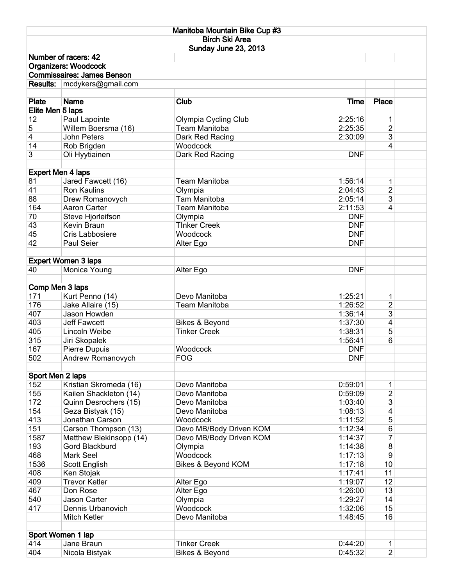| Manitoba Mountain Bike Cup #3 |                                    |                           |             |                |  |  |  |  |  |  |
|-------------------------------|------------------------------------|---------------------------|-------------|----------------|--|--|--|--|--|--|
|                               |                                    | <b>Birch Ski Area</b>     |             |                |  |  |  |  |  |  |
|                               |                                    | Sunday June 23, 2013      |             |                |  |  |  |  |  |  |
|                               | Number of racers: 42               |                           |             |                |  |  |  |  |  |  |
|                               | <b>Organizers: Woodcock</b>        |                           |             |                |  |  |  |  |  |  |
|                               | <b>Commissaires: James Benson</b>  |                           |             |                |  |  |  |  |  |  |
|                               | Results:   mcdykers@gmail.com      |                           |             |                |  |  |  |  |  |  |
|                               |                                    |                           |             |                |  |  |  |  |  |  |
| <b>Plate</b>                  | <b>Name</b>                        | <b>Club</b>               | <b>Time</b> | <b>Place</b>   |  |  |  |  |  |  |
| Elite Men 5 laps              |                                    |                           |             |                |  |  |  |  |  |  |
| 12                            | Paul Lapointe                      | Olympia Cycling Club      | 2:25:16     | 1              |  |  |  |  |  |  |
| 5                             | Willem Boersma (16)                | <b>Team Manitoba</b>      | 2:25:35     | 2              |  |  |  |  |  |  |
| 4                             | John Peters                        | Dark Red Racing           | 2:30:09     | 3              |  |  |  |  |  |  |
| 14                            | Rob Brigden                        | Woodcock                  |             | 4              |  |  |  |  |  |  |
| 3                             | Oli Hyytiainen                     | Dark Red Racing           | <b>DNF</b>  |                |  |  |  |  |  |  |
|                               |                                    |                           |             |                |  |  |  |  |  |  |
| <b>Expert Men 4 laps</b>      |                                    |                           |             |                |  |  |  |  |  |  |
| 81                            | Jared Fawcett (16)                 | <b>Team Manitoba</b>      | 1:56:14     | 1              |  |  |  |  |  |  |
| 41                            | <b>Ron Kaulins</b>                 | Olympia                   | 2:04:43     | $\overline{2}$ |  |  |  |  |  |  |
| 88                            | Drew Romanovych                    | Tam Manitoba              | 2:05:14     | 3              |  |  |  |  |  |  |
| 164                           | Aaron Carter                       | <b>Team Manitoba</b>      | 2:11:53     | 4              |  |  |  |  |  |  |
| 70                            | Steve Hjorleifson                  | Olympia                   | <b>DNF</b>  |                |  |  |  |  |  |  |
| 43                            | Kevin Braun                        | <b>TInker Creek</b>       | <b>DNF</b>  |                |  |  |  |  |  |  |
| 45                            | Cris Labbosiere                    | Woodcock                  | <b>DNF</b>  |                |  |  |  |  |  |  |
| 42                            | Paul Seier                         | Alter Ego                 | <b>DNF</b>  |                |  |  |  |  |  |  |
|                               |                                    |                           |             |                |  |  |  |  |  |  |
|                               | <b>Expert Women 3 laps</b>         |                           |             |                |  |  |  |  |  |  |
| 40                            | Monica Young                       | Alter Ego                 | <b>DNF</b>  |                |  |  |  |  |  |  |
|                               |                                    |                           |             |                |  |  |  |  |  |  |
| Comp Men 3 laps               |                                    |                           |             |                |  |  |  |  |  |  |
| 171                           | Kurt Penno (14)                    | Devo Manitoba             | 1:25:21     | $\mathbf 1$    |  |  |  |  |  |  |
| 176                           | Jake Allaire (15)                  | <b>Team Manitoba</b>      | 1:26:52     | $\overline{2}$ |  |  |  |  |  |  |
| 407                           | Jason Howden                       |                           | 1:36:14     | 3              |  |  |  |  |  |  |
| 403                           | <b>Jeff Fawcett</b>                | Bikes & Beyond            | 1:37:30     | 4              |  |  |  |  |  |  |
| 405                           | Lincoln Weibe                      | <b>Tinker Creek</b>       | 1:38:31     | 5              |  |  |  |  |  |  |
| 315                           | Jiri Skopalek                      |                           | 1:56:41     | 6              |  |  |  |  |  |  |
| 167                           | Pierre Dupuis                      | Woodcock                  | <b>DNF</b>  |                |  |  |  |  |  |  |
| 502                           | Andrew Romanovych                  | <b>FOG</b>                | <b>DNF</b>  |                |  |  |  |  |  |  |
|                               |                                    |                           |             |                |  |  |  |  |  |  |
| Sport Men 2 laps              |                                    |                           |             |                |  |  |  |  |  |  |
| 152                           | Kristian Skromeda (16)             | Devo Manitoba             | 0:59:01     | 1              |  |  |  |  |  |  |
| 155                           | Kailen Shackleton (14)             | Devo Manitoba             | 0:59:09     | $\overline{2}$ |  |  |  |  |  |  |
| 172                           | Quinn Desrochers (15)              | Devo Manitoba             | 1:03:40     | 3              |  |  |  |  |  |  |
| 154                           | Geza Bistyak (15)                  | Devo Manitoba             | 1:08:13     | 4              |  |  |  |  |  |  |
| 413                           | Jonathan Carson                    | Woodcock                  | 1:11:52     | 5              |  |  |  |  |  |  |
| 151                           | Carson Thompson (13)               | Devo MB/Body Driven KOM   | 1:12:34     | 6              |  |  |  |  |  |  |
| 1587                          | Matthew Blekinsopp (14)            | Devo MB/Body Driven KOM   | 1:14:37     | 7              |  |  |  |  |  |  |
| 193                           | Gord Blackburd                     | Olympia                   | 1:14:38     | 8              |  |  |  |  |  |  |
| 468                           | Mark Seel                          | Woodcock                  | 1:17:13     | 9              |  |  |  |  |  |  |
| 1536                          |                                    |                           | 1:17:18     | 10             |  |  |  |  |  |  |
| 408                           | Scott English                      | Bikes & Beyond KOM        | 1:17:41     | 11             |  |  |  |  |  |  |
| 409                           | Ken Stojak<br><b>Trevor Ketler</b> | Alter Ego                 | 1:19:07     | 12             |  |  |  |  |  |  |
| 467                           | Don Rose                           | Alter Ego                 | 1:26:00     | 13             |  |  |  |  |  |  |
| 540                           | Jason Carter                       |                           | 1:29:27     | 14             |  |  |  |  |  |  |
|                               |                                    | Olympia                   |             |                |  |  |  |  |  |  |
| 417                           | Dennis Urbanovich                  | Woodcock                  | 1:32:06     | 15             |  |  |  |  |  |  |
|                               | Mitch Ketler                       | Devo Manitoba             | 1:48:45     | 16             |  |  |  |  |  |  |
|                               |                                    |                           |             |                |  |  |  |  |  |  |
|                               | Sport Women 1 lap                  |                           |             |                |  |  |  |  |  |  |
| 414<br>404                    | Jane Braun                         | <b>Tinker Creek</b>       | 0:44:20     | 1              |  |  |  |  |  |  |
|                               | Nicola Bistyak                     | <b>Bikes &amp; Beyond</b> | 0:45:32     | $\overline{2}$ |  |  |  |  |  |  |